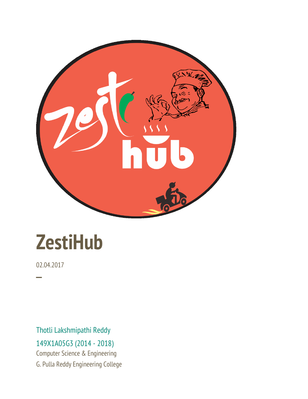

# **ZestiHub**

02.04.2017

─

Thotli Lakshmipathi Reddy 149X1A05G3 (2014 - 2018)

Computer Science & Engineering G. Pulla Reddy Engineering College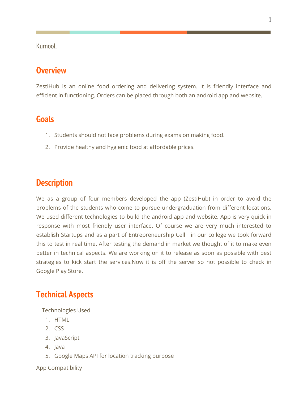Kurnool.

## **Overview**

ZestiHub is an online food ordering and delivering system. It is friendly interface and efficient in functioning. Orders can be placed through both an android app and website.

#### **Goals**

- 1. Students should not face problems during exams on making food.
- 2. Provide healthy and hygienic food at affordable prices.

#### **Description**

We as a group of four members developed the app (ZestiHub) in order to avoid the problems of the students who come to pursue undergraduation from different locations. We used different technologies to build the android app and website. App is very quick in response with most friendly user interface. Of course we are very much interested to establish Startups and as a part of Entrepreneurship Cell in our college we took forward this to test in real time. After testing the demand in market we thought of it to make even better in technical aspects. We are working on it to release as soon as possible with best strategies to kick start the services.Now it is off the server so not possible to check in Google Play Store.

## **Technical Aspects**

Technologies Used

- 1. HTML
- 2. CSS
- 3. JavaScript
- 4. Java
- 5. Google Maps API for location tracking purpose

App Compatibility